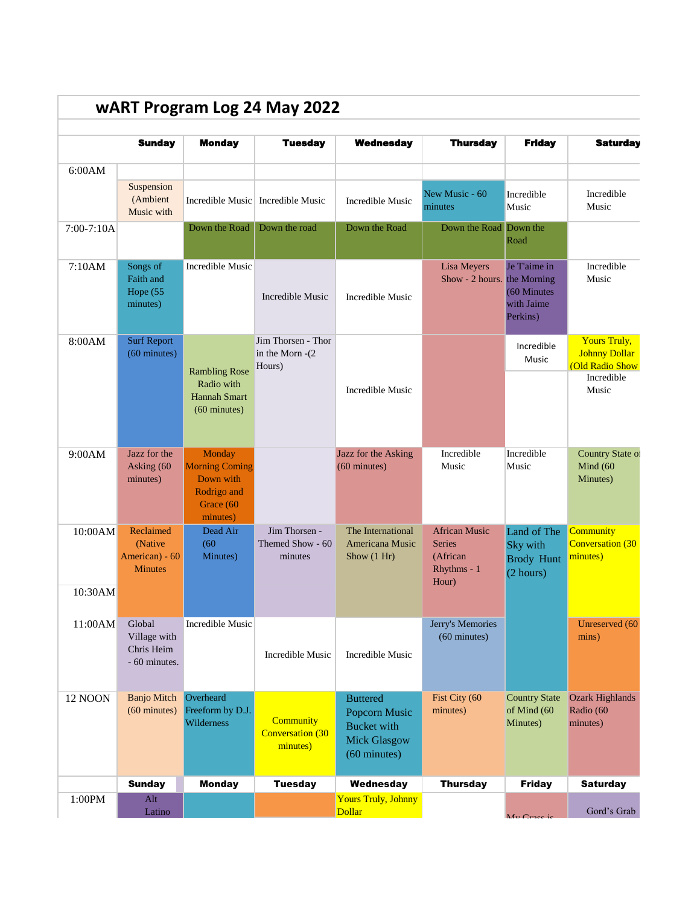| wART Program Log 24 May 2022 |                                                           |                                                                                      |                                                    |                                                                                                         |                                                                           |                                                           |                                                                                       |  |
|------------------------------|-----------------------------------------------------------|--------------------------------------------------------------------------------------|----------------------------------------------------|---------------------------------------------------------------------------------------------------------|---------------------------------------------------------------------------|-----------------------------------------------------------|---------------------------------------------------------------------------------------|--|
|                              | <b>Sunday</b>                                             | <b>Monday</b>                                                                        | <b>Tuesday</b>                                     | <b>Wednesday</b>                                                                                        | <b>Thursday</b>                                                           | <b>Friday</b>                                             | <b>Saturdav</b>                                                                       |  |
| 6:00AM                       |                                                           |                                                                                      |                                                    |                                                                                                         |                                                                           |                                                           |                                                                                       |  |
|                              | Suspension<br>(Ambient<br>Music with                      |                                                                                      | Incredible Music Incredible Music                  | Incredible Music                                                                                        | New Music - 60<br>minutes                                                 | Incredible<br>Music                                       | Incredible<br>Music                                                                   |  |
| $7:00-7:10A$                 |                                                           | Down the Road                                                                        | Down the road                                      | Down the Road                                                                                           | Down the Road Down the                                                    | Road                                                      |                                                                                       |  |
| 7:10AM                       | Songs of<br>Faith and<br>Hope (55<br>minutes)             | Incredible Music                                                                     | <b>Incredible Music</b>                            | <b>Incredible Music</b>                                                                                 | Lisa Meyers<br>Show - 2 hours. the Morning                                | Je T'aime in<br>(60 Minutes)<br>with Jaime<br>Perkins)    | Incredible<br>Music                                                                   |  |
| 8:00AM                       | <b>Surf Report</b><br>$(60 \text{ minutes})$              | <b>Rambling Rose</b><br>Radio with<br><b>Hannah Smart</b><br>$(60 \text{ minutes})$  | Jim Thorsen - Thor<br>in the Morn $-(2)$<br>Hours) | <b>Incredible Music</b>                                                                                 |                                                                           | Incredible<br>Music                                       | <b>Yours Truly,</b><br><b>Johnny Dollar</b><br>(Old Radio Show<br>Incredible<br>Music |  |
| 9:00AM                       | Jazz for the<br>Asking (60<br>minutes)                    | Monday<br><b>Morning Coming</b><br>Down with<br>Rodrigo and<br>Grace (60<br>minutes) |                                                    | Jazz for the Asking<br>$(60 \text{ minutes})$                                                           | Incredible<br>Music                                                       | Incredible<br>Music                                       | Country State of<br>Mind $(60)$<br>Minutes)                                           |  |
| 10:00AM<br>10:30AM           | Reclaimed<br>(Native)<br>American) - 60<br><b>Minutes</b> | Dead Air<br>(60)<br>Minutes)                                                         | Jim Thorsen -<br>Themed Show - 60<br>minutes       | The International<br>Americana Music<br>Show $(1 Hr)$                                                   | <b>African Music</b><br><b>Series</b><br>(African<br>Rhythms - 1<br>Hour) | Land of The<br>Sky with<br><b>Brody Hunt</b><br>(2 hours) | Community<br><b>Conversation (30)</b><br>minutes)                                     |  |
| 11:00AM                      | Global<br>Village with<br>Chris Heim<br>- 60 minutes.     | Incredible Music                                                                     | <b>Incredible Music</b>                            | <b>Incredible Music</b>                                                                                 | Jerry's Memories<br>$(60 \text{ minutes})$                                |                                                           | Unreserved (60<br>mins)                                                               |  |
| 12 NOON                      | <b>Banjo Mitch</b><br>$(60 \text{ minutes})$              | Overheard<br>Freeform by D.J.<br>Wilderness                                          | Community<br><b>Conversation (30</b><br>minutes)   | <b>Buttered</b><br>Popcorn Music<br><b>Bucket</b> with<br><b>Mick Glasgow</b><br>$(60 \text{ minutes})$ | Fist City (60<br>minutes)                                                 | <b>Country State</b><br>of Mind (60<br>Minutes)           | <b>Ozark Highlands</b><br>Radio (60<br>minutes)                                       |  |
|                              | <b>Sunday</b>                                             | <b>Monday</b>                                                                        | <b>Tuesday</b>                                     | Wednesday                                                                                               | <b>Thursday</b>                                                           | <b>Friday</b>                                             | <b>Saturday</b>                                                                       |  |
| 1:00PM                       | Alt<br>Latino                                             |                                                                                      |                                                    | <b>Yours Truly, Johnny</b><br><b>Dollar</b>                                                             |                                                                           | $M_{\rm V}$ Cross is                                      | Gord's Grab                                                                           |  |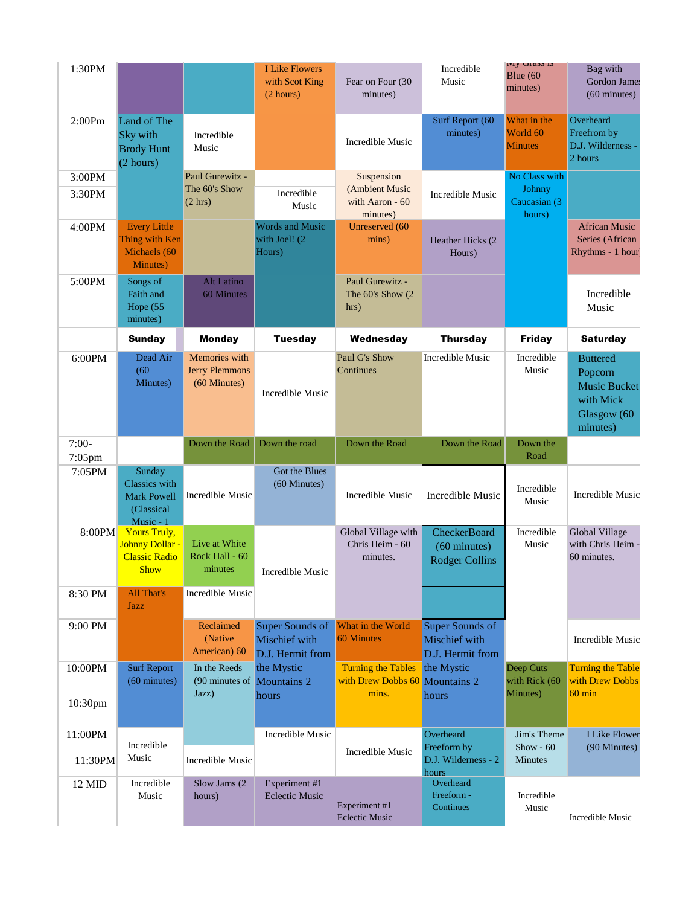| 1:30PM               |                                                                               |                                                        | <b>I</b> Like Flowers<br>with Scot King<br>(2 hours)        | Fear on Four (30<br>minutes)                                | Incredible<br>Music                                                    | <b>IVIY UTASS IS</b><br>Blue $(60)$<br>minutes)   | Bag with<br>Gordon James<br>$(60 \text{ minutes})$                                        |
|----------------------|-------------------------------------------------------------------------------|--------------------------------------------------------|-------------------------------------------------------------|-------------------------------------------------------------|------------------------------------------------------------------------|---------------------------------------------------|-------------------------------------------------------------------------------------------|
| 2:00Pm               | Land of The<br>Sky with<br><b>Brody Hunt</b><br>(2 hours)                     | Incredible<br>Music                                    |                                                             | Incredible Music                                            | Surf Report (60<br>minutes)                                            | What in the<br>World 60<br><b>Minutes</b>         | Overheard<br>Freefrom by<br>D.J. Wilderness -<br>2 hours                                  |
| 3:00PM<br>3:30PM     |                                                                               | Paul Gurewitz -<br>The 60's Show<br>(2 hr)             | Incredible<br>Music                                         | Suspension<br>(Ambient Music<br>with Aaron - 60<br>minutes) | Incredible Music                                                       | No Class with<br>Johnny<br>Caucasian (3<br>hours) |                                                                                           |
| 4:00PM               | <b>Every Little</b><br>Thing with Ken<br>Michaels (60<br>Minutes)             |                                                        | <b>Words and Music</b><br>with Joel! (2<br>Hours)           | Unreserved (60<br>mins)                                     | Heather Hicks (2<br>Hours)                                             |                                                   | <b>African Music</b><br>Series (African<br>Rhythms - 1 hour                               |
| 5:00PM               | Songs of<br>Faith and<br>Hope (55<br>minutes)                                 | Alt Latino<br>60 Minutes                               |                                                             | Paul Gurewitz -<br>The 60's Show (2)<br>hrs)                |                                                                        |                                                   | Incredible<br>Music                                                                       |
|                      | <b>Sunday</b>                                                                 | <b>Monday</b>                                          | <b>Tuesday</b>                                              | Wednesday                                                   | <b>Thursday</b>                                                        | <b>Friday</b>                                     | <b>Saturday</b>                                                                           |
| 6:00PM               | Dead Air<br>(60)<br>Minutes)                                                  | Memories with<br><b>Jerry Plemmons</b><br>(60 Minutes) | Incredible Music                                            | Paul G's Show<br>Continues                                  | <b>Incredible Music</b>                                                | Incredible<br>Music                               | <b>Buttered</b><br>Popcorn<br><b>Music Bucket</b><br>with Mick<br>Glasgow (60<br>minutes) |
| $7:00-$<br>$7:05$ pm |                                                                               | Down the Road                                          | Down the road                                               | Down the Road                                               | Down the Road                                                          | Down the<br>Road                                  |                                                                                           |
| 7:05PM               | Sunday<br>Classics with<br><b>Mark Powell</b><br>(Classical<br>Music - 1      | Incredible Music                                       | Got the Blues<br>(60 Minutes)                               | <b>Incredible Music</b>                                     | Incredible Music                                                       | Incredible<br>Music                               | <b>Incredible Music</b>                                                                   |
| 8:00PM               | <b>Yours Truly,</b><br>Johnny Dollar -<br><b>Classic Radio</b><br><b>Show</b> | Live at White<br>Rock Hall - 60<br>minutes             | Incredible Music                                            | Global Village with<br>Chris Heim - 60<br>minutes.          | <b>CheckerBoard</b><br>$(60 \text{ minutes})$<br><b>Rodger Collins</b> | Incredible<br>Music                               | Global Village<br>with Chris Heim -<br>60 minutes.                                        |
| 8:30 PM              | All That's<br>Jazz                                                            | Incredible Music                                       |                                                             |                                                             |                                                                        |                                                   |                                                                                           |
| 9:00 PM              |                                                                               | Reclaimed<br>(Native<br>American) 60                   | <b>Super Sounds of</b><br>Mischief with<br>D.J. Hermit from | What in the World<br><b>60 Minutes</b>                      | Super Sounds of<br>Mischief with<br>D.J. Hermit from                   |                                                   | Incredible Music                                                                          |
| 10:00PM<br>10:30pm   | <b>Surf Report</b><br>$(60 \text{ minutes})$                                  | In the Reeds<br>(90 minutes of Mountains 2<br>Jazz)    | the Mystic<br>hours                                         | <b>Turning the Tables</b><br>with Drew Dobbs 60<br>mins.    | the Mystic<br><b>Mountains 2</b><br>hours                              | Deep Cuts<br>with Rick (60<br>Minutes)            | <b>Turning the Table</b><br>with Drew Dobbs<br>$60 \text{ min}$                           |
| 11:00PM<br>11:30PM   | Incredible<br>Music                                                           | Incredible Music                                       | Incredible Music                                            | <b>Incredible Music</b>                                     | Overheard<br>Freeform by<br>D.J. Wilderness - 2<br>hours               | Jim's Theme<br>Show - $60$<br>Minutes             | I Like Flower<br>(90 Minutes)                                                             |
| 12 MID               | Incredible                                                                    | Slow Jams (2)                                          | Experiment #1                                               |                                                             | Overheard                                                              |                                                   |                                                                                           |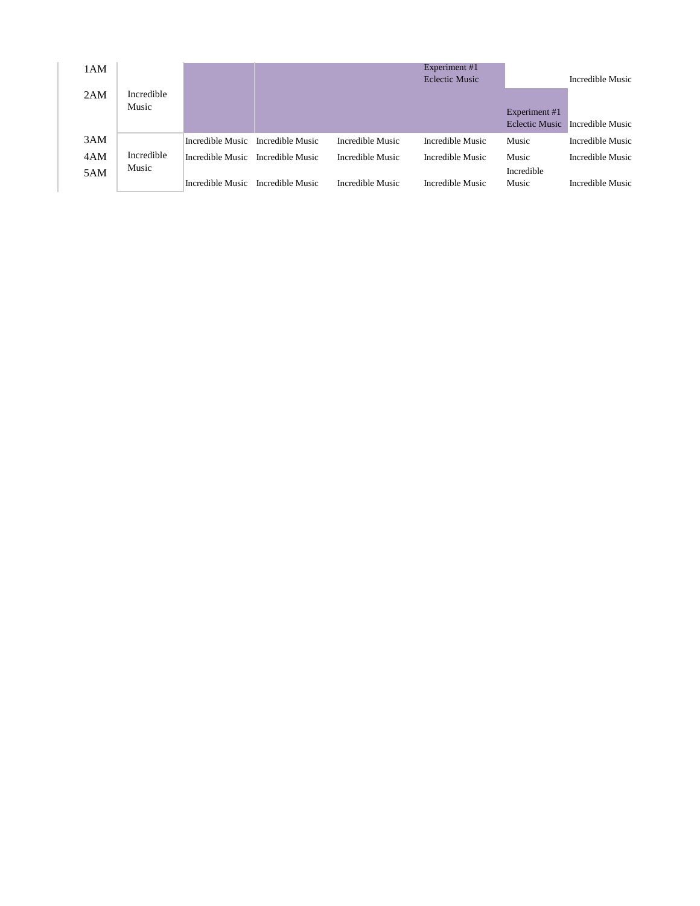| 1AM               |                     |                                      |                                      |                                      | Experiment #1<br><b>Eclectic Music</b> |                                        | Incredible Music                            |
|-------------------|---------------------|--------------------------------------|--------------------------------------|--------------------------------------|----------------------------------------|----------------------------------------|---------------------------------------------|
| 2AM               | Incredible<br>Music |                                      |                                      |                                      |                                        | Experiment #1<br><b>Eclectic Music</b> | Incredible Music                            |
| 3AM<br>4AM<br>5AM | Incredible<br>Music | Incredible Music<br>Incredible Music | Incredible Music<br>Incredible Music | Incredible Music<br>Incredible Music | Incredible Music<br>Incredible Music   | Music<br>Music<br>Incredible           | Incredible Music<br><b>Incredible Music</b> |
|                   |                     | Incredible Music                     | Incredible Music                     | Incredible Music                     | Incredible Music                       | Music                                  | Incredible Music                            |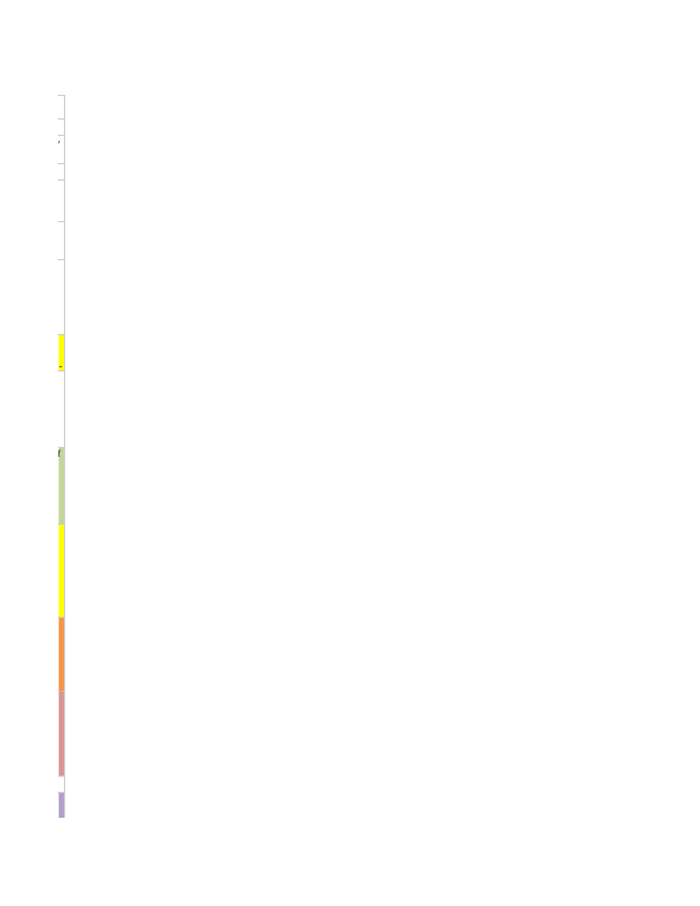Saturday (Old Radio Show - Country State of State of State of State of State of State of State of State of State of State of State of State of State of State of State of State of State of State of State of State of State of State of State of State o Unreserved (60